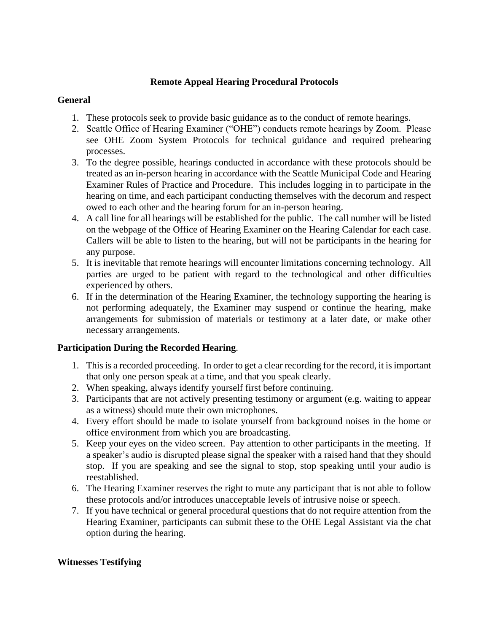# **Remote Appeal Hearing Procedural Protocols**

## **General**

- 1. These protocols seek to provide basic guidance as to the conduct of remote hearings.
- 2. Seattle Office of Hearing Examiner ("OHE") conducts remote hearings by Zoom. Please see OHE Zoom System Protocols for technical guidance and required prehearing processes.
- 3. To the degree possible, hearings conducted in accordance with these protocols should be treated as an in-person hearing in accordance with the Seattle Municipal Code and Hearing Examiner Rules of Practice and Procedure. This includes logging in to participate in the hearing on time, and each participant conducting themselves with the decorum and respect owed to each other and the hearing forum for an in-person hearing.
- 4. A call line for all hearings will be established for the public. The call number will be listed on the webpage of the Office of Hearing Examiner on the Hearing Calendar for each case. Callers will be able to listen to the hearing, but will not be participants in the hearing for any purpose.
- 5. It is inevitable that remote hearings will encounter limitations concerning technology. All parties are urged to be patient with regard to the technological and other difficulties experienced by others.
- 6. If in the determination of the Hearing Examiner, the technology supporting the hearing is not performing adequately, the Examiner may suspend or continue the hearing, make arrangements for submission of materials or testimony at a later date, or make other necessary arrangements.

# **Participation During the Recorded Hearing**.

- 1. This is a recorded proceeding. In order to get a clear recording for the record, it is important that only one person speak at a time, and that you speak clearly.
- 2. When speaking, always identify yourself first before continuing.
- 3. Participants that are not actively presenting testimony or argument (e.g. waiting to appear as a witness) should mute their own microphones.
- 4. Every effort should be made to isolate yourself from background noises in the home or office environment from which you are broadcasting.
- 5. Keep your eyes on the video screen. Pay attention to other participants in the meeting. If a speaker's audio is disrupted please signal the speaker with a raised hand that they should stop. If you are speaking and see the signal to stop, stop speaking until your audio is reestablished.
- 6. The Hearing Examiner reserves the right to mute any participant that is not able to follow these protocols and/or introduces unacceptable levels of intrusive noise or speech.
- 7. If you have technical or general procedural questions that do not require attention from the Hearing Examiner, participants can submit these to the OHE Legal Assistant via the chat option during the hearing.

# **Witnesses Testifying**